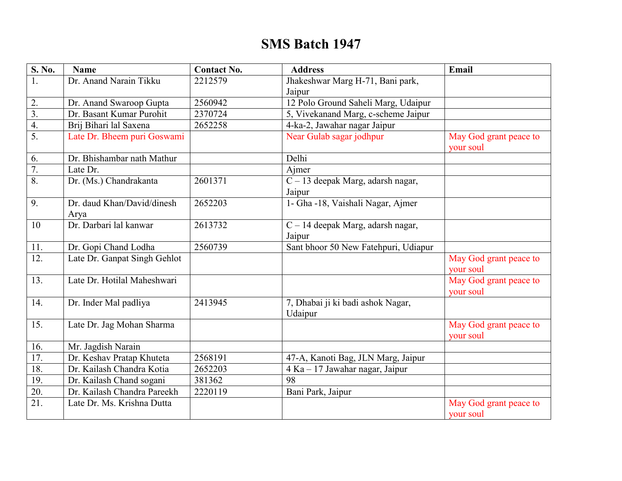## **SMS Batch 1947**

| S. No.                | <b>Name</b>                  | <b>Contact No.</b> | <b>Address</b>                               | Email                               |
|-----------------------|------------------------------|--------------------|----------------------------------------------|-------------------------------------|
|                       | Dr. Anand Narain Tikku       | 2212579            | Jhakeshwar Marg H-71, Bani park,             |                                     |
|                       |                              |                    | Jaipur                                       |                                     |
| 2.                    | Dr. Anand Swaroop Gupta      | 2560942            | 12 Polo Ground Saheli Marg, Udaipur          |                                     |
| $\overline{3}$ .      | Dr. Basant Kumar Purohit     | 2370724            | 5, Vivekanand Marg, c-scheme Jaipur          |                                     |
| $\overline{4}$ .      | Brij Bihari lal Saxena       | 2652258            | 4-ka-2, Jawahar nagar Jaipur                 |                                     |
| $\overline{5}$ .      | Late Dr. Bheem puri Goswami  |                    | Near Gulab sagar jodhpur                     | May God grant peace to<br>your soul |
| 6.                    | Dr. Bhishambar nath Mathur   |                    | Delhi                                        |                                     |
| $\overline{7}$ .      | Late Dr.                     |                    | Ajmer                                        |                                     |
| $\overline{\delta}$ . | Dr. (Ms.) Chandrakanta       | 2601371            | $\overline{C-13}$ deepak Marg, adarsh nagar, |                                     |
|                       |                              |                    | Jaipur                                       |                                     |
| 9.                    | Dr. daud Khan/David/dinesh   | 2652203            | 1- Gha -18, Vaishali Nagar, Ajmer            |                                     |
|                       | Arya                         |                    |                                              |                                     |
| 10                    | Dr. Darbari lal kanwar       | 2613732            | C - 14 deepak Marg, adarsh nagar,            |                                     |
|                       |                              |                    | Jaipur                                       |                                     |
| 11.                   | Dr. Gopi Chand Lodha         | 2560739            | Sant bhoor 50 New Fatehpuri, Udiapur         |                                     |
| 12.                   | Late Dr. Ganpat Singh Gehlot |                    |                                              | May God grant peace to              |
|                       |                              |                    |                                              | your soul                           |
| 13.                   | Late Dr. Hotilal Maheshwari  |                    |                                              | May God grant peace to              |
|                       |                              |                    |                                              | your soul                           |
| 14.                   | Dr. Inder Mal padliya        | 2413945            | 7, Dhabai ji ki badi ashok Nagar,<br>Udaipur |                                     |
| 15.                   | Late Dr. Jag Mohan Sharma    |                    |                                              | May God grant peace to              |
|                       |                              |                    |                                              | your soul                           |
| 16.                   | Mr. Jagdish Narain           |                    |                                              |                                     |
| 17.                   | Dr. Keshav Pratap Khuteta    | 2568191            | 47-A, Kanoti Bag, JLN Marg, Jaipur           |                                     |
| 18.                   | Dr. Kailash Chandra Kotia    | 2652203            | 4 Ka - 17 Jawahar nagar, Jaipur              |                                     |
| 19.                   | Dr. Kailash Chand sogani     | 381362             | 98                                           |                                     |
| 20.                   | Dr. Kailash Chandra Pareekh  | 2220119            | Bani Park, Jaipur                            |                                     |
| 21.                   | Late Dr. Ms. Krishna Dutta   |                    |                                              | May God grant peace to              |
|                       |                              |                    |                                              | your soul                           |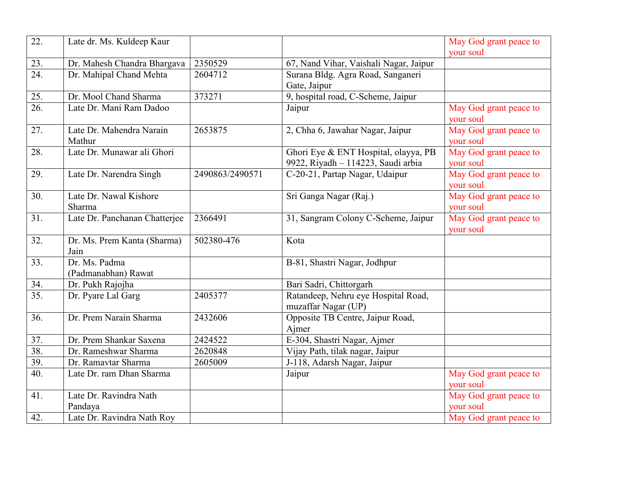| $\overline{22}$ . | Late dr. Ms. Kuldeep Kaur     |                 |                                        | May God grant peace to |
|-------------------|-------------------------------|-----------------|----------------------------------------|------------------------|
|                   |                               |                 |                                        | vour soul              |
| 23.               | Dr. Mahesh Chandra Bhargava   | 2350529         | 67, Nand Vihar, Vaishali Nagar, Jaipur |                        |
| 24.               | Dr. Mahipal Chand Mehta       | 2604712         | Surana Bldg. Agra Road, Sanganeri      |                        |
|                   |                               |                 | Gate, Jaipur                           |                        |
| 25.               | Dr. Mool Chand Sharma         | 373271          | 9, hospital road, C-Scheme, Jaipur     |                        |
| 26.               | Late Dr. Mani Ram Dadoo       |                 | Jaipur                                 | May God grant peace to |
|                   |                               |                 |                                        | your soul              |
| 27.               | Late Dr. Mahendra Narain      | 2653875         | 2, Chha 6, Jawahar Nagar, Jaipur       | May God grant peace to |
|                   | Mathur                        |                 |                                        | your soul              |
| 28.               | Late Dr. Munawar ali Ghori    |                 | Ghori Eye & ENT Hospital, olayya, PB   | May God grant peace to |
|                   |                               |                 | 9922, Riyadh - 114223, Saudi arbia     | your soul              |
| 29.               | Late Dr. Narendra Singh       | 2490863/2490571 | C-20-21, Partap Nagar, Udaipur         | May God grant peace to |
|                   |                               |                 |                                        | your soul              |
| 30.               | Late Dr. Nawal Kishore        |                 | Sri Ganga Nagar (Raj.)                 | May God grant peace to |
|                   | Sharma                        |                 |                                        | your soul              |
| 31.               | Late Dr. Panchanan Chatterjee | 2366491         | 31, Sangram Colony C-Scheme, Jaipur    | May God grant peace to |
|                   |                               |                 |                                        | your soul              |
| 32.               | Dr. Ms. Prem Kanta (Sharma)   | 502380-476      | Kota                                   |                        |
|                   | Jain                          |                 |                                        |                        |
| $\overline{33}$ . | Dr. Ms. Padma                 |                 | B-81, Shastri Nagar, Jodhpur           |                        |
|                   | (Padmanabhan) Rawat           |                 |                                        |                        |
| 34.               | Dr. Pukh Rajojha              |                 | Bari Sadri, Chittorgarh                |                        |
| $\overline{35}$ . | Dr. Pyare Lal Garg            | 2405377         | Ratandeep, Nehru eye Hospital Road,    |                        |
|                   |                               |                 | muzaffar Nagar (UP)                    |                        |
| 36.               | Dr. Prem Narain Sharma        | 2432606         | Opposite TB Centre, Jaipur Road,       |                        |
|                   |                               |                 | Ajmer                                  |                        |
| 37.               | Dr. Prem Shankar Saxena       | 2424522         | E-304, Shastri Nagar, Ajmer            |                        |
| 38.               | Dr. Rameshwar Sharma          | 2620848         | Vijay Path, tilak nagar, Jaipur        |                        |
| 39.               | Dr. Ramavtar Sharma           | 2605009         | J-118, Adarsh Nagar, Jaipur            |                        |
| 40.               | Late Dr. ram Dhan Sharma      |                 | Jaipur                                 | May God grant peace to |
|                   |                               |                 |                                        | your soul              |
| 41.               | Late Dr. Ravindra Nath        |                 |                                        | May God grant peace to |
|                   | Pandaya                       |                 |                                        | your soul              |
| 42.               | Late Dr. Ravindra Nath Roy    |                 |                                        | May God grant peace to |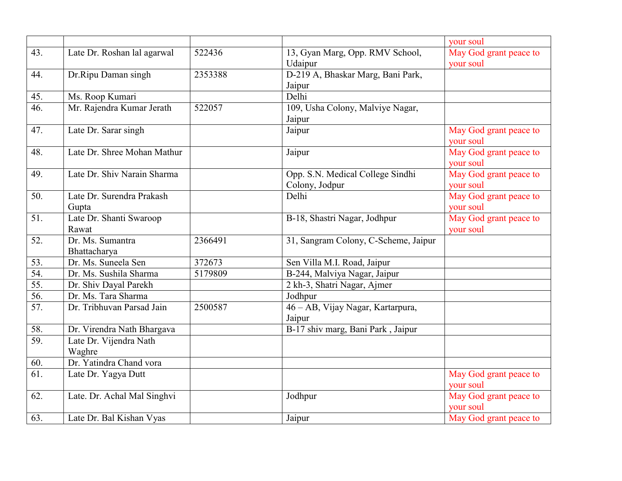|                   |                             |         |                                      | your soul              |
|-------------------|-----------------------------|---------|--------------------------------------|------------------------|
| 43.               | Late Dr. Roshan lal agarwal | 522436  | 13, Gyan Marg, Opp. RMV School,      | May God grant peace to |
|                   |                             |         | Udaipur                              | your soul              |
| 44.               | Dr.Ripu Daman singh         | 2353388 | D-219 A, Bhaskar Marg, Bani Park,    |                        |
|                   |                             |         | Jaipur                               |                        |
| 45.               | Ms. Roop Kumari             |         | Delhi                                |                        |
| 46.               | Mr. Rajendra Kumar Jerath   | 522057  | 109, Usha Colony, Malviye Nagar,     |                        |
|                   |                             |         | Jaipur                               |                        |
| 47.               | Late Dr. Sarar singh        |         | Jaipur                               | May God grant peace to |
|                   |                             |         |                                      | your soul              |
| 48.               | Late Dr. Shree Mohan Mathur |         | Jaipur                               | May God grant peace to |
|                   |                             |         |                                      | your soul              |
| 49.               | Late Dr. Shiv Narain Sharma |         | Opp. S.N. Medical College Sindhi     | May God grant peace to |
|                   |                             |         | Colony, Jodpur                       | your soul              |
| 50.               | Late Dr. Surendra Prakash   |         | Delhi                                | May God grant peace to |
|                   | Gupta                       |         |                                      | your soul              |
| 51.               | Late Dr. Shanti Swaroop     |         | B-18, Shastri Nagar, Jodhpur         | May God grant peace to |
|                   | Rawat                       |         |                                      | your soul              |
| 52.               | Dr. Ms. Sumantra            | 2366491 | 31, Sangram Colony, C-Scheme, Jaipur |                        |
|                   | Bhattacharya                |         |                                      |                        |
| 53.               | Dr. Ms. Suneela Sen         | 372673  | Sen Villa M.I. Road, Jaipur          |                        |
| 54.               | Dr. Ms. Sushila Sharma      | 5179809 | B-244, Malviya Nagar, Jaipur         |                        |
| 55.               | Dr. Shiv Dayal Parekh       |         | 2 kh-3, Shatri Nagar, Ajmer          |                        |
| 56.               | Dr. Ms. Tara Sharma         |         | Jodhpur                              |                        |
| $\overline{57}$ . | Dr. Tribhuvan Parsad Jain   | 2500587 | 46 – AB, Vijay Nagar, Kartarpura,    |                        |
|                   |                             |         | Jaipur                               |                        |
| 58.               | Dr. Virendra Nath Bhargava  |         | B-17 shiv marg, Bani Park, Jaipur    |                        |
| 59.               | Late Dr. Vijendra Nath      |         |                                      |                        |
|                   | Waghre                      |         |                                      |                        |
| 60.               | Dr. Yatindra Chand vora     |         |                                      |                        |
| 61.               | Late Dr. Yagya Dutt         |         |                                      | May God grant peace to |
|                   |                             |         |                                      | your soul              |
| 62.               | Late. Dr. Achal Mal Singhvi |         | Jodhpur                              | May God grant peace to |
|                   |                             |         |                                      | your soul              |
| 63.               | Late Dr. Bal Kishan Vyas    |         | Jaipur                               | May God grant peace to |